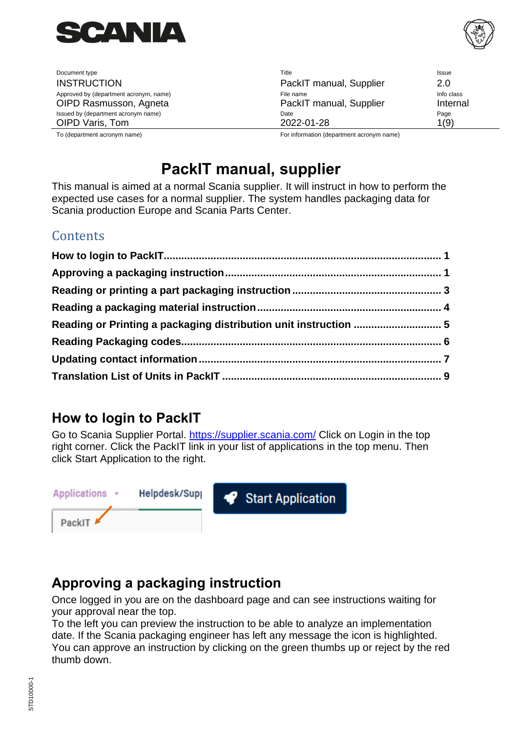

Document type Title Issue INSTRUCTION PackIT manual, Supplier 2.0 Approved by (department acronym, name) and the state of the state of File name Info class and the class of the class OIPD Rasmusson, Agneta **PackIT** manual, Supplier Internal Issued by (department acronym name) and the Page of the Page of the Page of the Page of the Page of the Page of the Page of the Page of the Page of the Page of the Page of the Page of the Page of the Page of the Page of th OIPD Varis, Tom 2022-01-28 2022-01-28 1(9) To (department acronym name) For information (department acronym name)

# **PackIT manual, supplier**

This manual is aimed at a normal Scania supplier. It will instruct in how to perform the expected use cases for a normal supplier. The system handles packaging data for Scania production Europe and Scania Parts Center.

#### **Contents**

| Reading or Printing a packaging distribution unit instruction  5 |  |
|------------------------------------------------------------------|--|
|                                                                  |  |
|                                                                  |  |
|                                                                  |  |

### <span id="page-0-0"></span>**How to login to PackIT**

Go to Scania Supplier Portal.<https://supplier.scania.com/> Click on Login in the top right corner. Click the PackIT link in your list of applications in the top menu. Then click Start Application to the right.



### <span id="page-0-1"></span>**Approving a packaging instruction**

Once logged in you are on the dashboard page and can see instructions waiting for your approval near the top.

To the left you can preview the instruction to be able to analyze an implementation date. If the Scania packaging engineer has left any message the icon is highlighted. You can approve an instruction by clicking on the green thumbs up or reject by the red thumb down.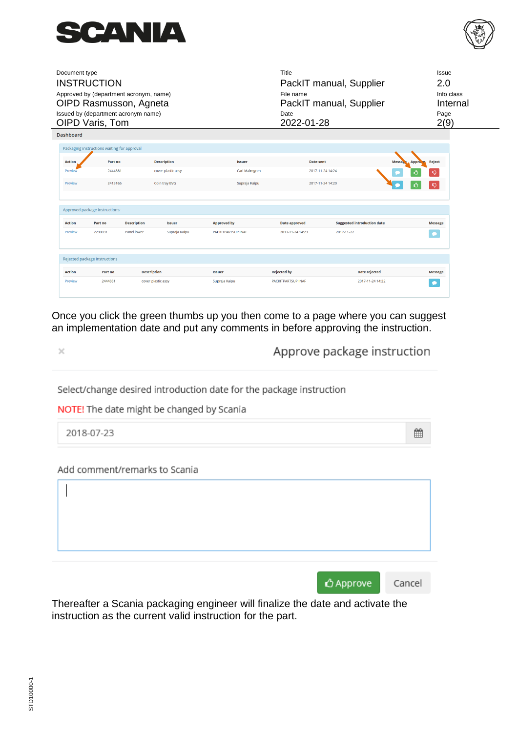



| Document type    | <b>INSTRUCTION</b><br>Approved by (department acronym, name)<br>OIPD Rasmusson, Agneta<br>Issued by (department acronym name) |                    |                    |                           | Title<br>File name<br>Date | PackIT manual, Supplier<br>PackIT manual, Supplier | Issue<br>2.0<br>Info class<br>Internal<br>Page |
|------------------|-------------------------------------------------------------------------------------------------------------------------------|--------------------|--------------------|---------------------------|----------------------------|----------------------------------------------------|------------------------------------------------|
| <b>Dashboard</b> | OIPD Varis, Tom                                                                                                               |                    |                    |                           | 2022-01-28                 |                                                    | 2(9)                                           |
|                  | Packaging instructions waiting for approval                                                                                   |                    |                    |                           |                            |                                                    |                                                |
| <b>Action</b>    | Part no                                                                                                                       |                    | <b>Description</b> | <b>Issuer</b>             | <b>Date sent</b>           | <b>Messa</b>                                       | <b>Reject</b><br><b>Approve</b>                |
| Preview          | 2444881                                                                                                                       |                    | cover plastic assy | Carl Malmgren             |                            | 2017-11-24 14:24                                   |                                                |
| Preview          | 2413165                                                                                                                       |                    | Coin tray BVG      | Supraja Kaipu             |                            | 2017-11-24 14:20                                   | Q<br>Ô                                         |
|                  | Approved package instructions                                                                                                 |                    |                    |                           |                            |                                                    |                                                |
| <b>Action</b>    | Part no                                                                                                                       | <b>Description</b> | <b>Issuer</b>      | <b>Approved by</b>        | <b>Date approved</b>       | <b>Suggested introduction date</b>                 | <b>Message</b>                                 |
| Preview          | 2290031                                                                                                                       | Panel lower        | Supraja Kaipu      | <b>PACKITPARTSUP INAF</b> | 2017-11-24 14:23           | 2017-11-22                                         |                                                |
|                  | Rejected package instructions                                                                                                 |                    |                    |                           |                            |                                                    |                                                |
| <b>Action</b>    | Part no                                                                                                                       | <b>Description</b> |                    | <b>Issuer</b>             | <b>Rejected by</b>         | Date rejected                                      | <b>Message</b>                                 |
| Preview          | 2444881                                                                                                                       |                    | cover plastic assy | Supraja Kaipu             | <b>PACKITPARTSUP INAF</b>  | 2017-11-24 14:22                                   |                                                |

Once you click the green thumbs up you then come to a page where you can suggest an implementation date and put any comments in before approving the instruction.

 $\times$ 

Approve package instruction

雦

Select/change desired introduction date for the package instruction

NOTE! The date might be changed by Scania

2018-07-23

Add comment/remarks to Scania

| △ Approve Cancel |  |
|------------------|--|

Thereafter a Scania packaging engineer will finalize the date and activate the instruction as the current valid instruction for the part.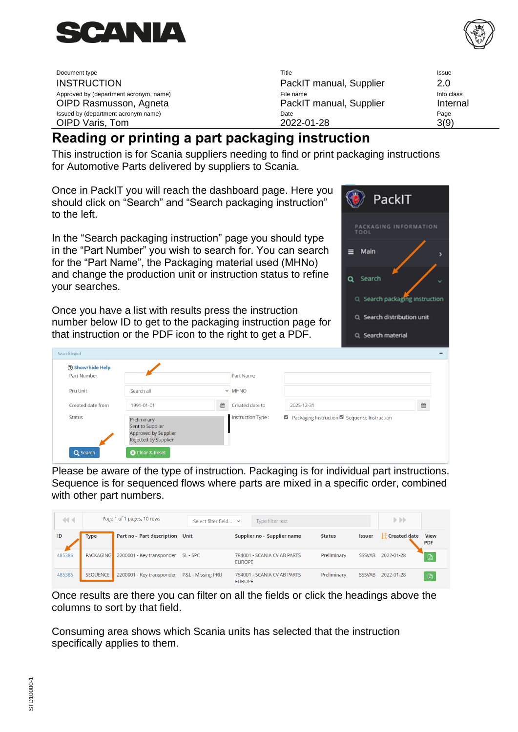



PackIT

PACKAGING INFORMATION

Q Search packaging instruction

Q Search distribution unit

Q Search material

 $\equiv$  Main

Q Search

| Document type                          | Title                   | Issue      |
|----------------------------------------|-------------------------|------------|
| <b>INSTRUCTION</b>                     | PackIT manual, Supplier | 2.0        |
| Approved by (department acronym, name) | File name               | Info class |
| OIPD Rasmusson, Agneta                 | PackIT manual, Supplier | Internal   |
| Issued by (department acronym name)    | Date                    | Page       |
| OIPD Varis, Tom                        | 2022-01-28              | 3(9)       |

## <span id="page-2-0"></span>**Reading or printing a part packaging instruction**

This instruction is for Scania suppliers needing to find or print packaging instructions for Automotive Parts delivered by suppliers to Scania.

Once in PackIT you will reach the dashboard page. Here you should click on "Search" and "Search packaging instruction" to the left.

In the "Search packaging instruction" page you should type in the "Part Number" you wish to search for. You can search for the "Part Name", the Packaging material used (MHNo) and change the production unit or instruction status to refine your searches.

Once you have a list with results press the instruction number below ID to get to the packaging instruction page for that instruction or the PDF icon to the right to get a PDF.

| ? Show/hide Help  |                                                                                 |   |                   |                                               |   |
|-------------------|---------------------------------------------------------------------------------|---|-------------------|-----------------------------------------------|---|
| Part Number       |                                                                                 |   | <b>Part Name</b>  |                                               |   |
| <b>Pru Unit</b>   | Search all                                                                      |   | $\vee$ MHNO       |                                               |   |
| Created date from | 1991-01-01                                                                      | 雦 | Created date to   | 2025-12-31                                    | 曲 |
| <b>Status</b>     | Preliminary<br>Sent to Supplier<br>Approved by Supplier<br>Rejected by Supplier |   | Instruction Type: | Rackaging Instruction Rackaguence Instruction |   |

Please be aware of the type of instruction. Packaging is for individual part instructions. Sequence is for sequenced flows where parts are mixed in a specific order, combined with other part numbers.

| $\blacktriangleleft$ |                  | Page 1 of 1 pages, 10 rows | Select filter field | $\checkmark$  | Type filter text            |               |               | $\blacktriangleright$ $\blacktriangleright$ |                           |
|----------------------|------------------|----------------------------|---------------------|---------------|-----------------------------|---------------|---------------|---------------------------------------------|---------------------------|
| ID                   | <b>Type</b>      | Part no - Part description | <b>Unit</b>         |               | Supplier no - Supplier name | <b>Status</b> | <b>Issuer</b> | $\frac{2}{4}$ Created date                  | <b>View</b><br><b>PDF</b> |
| 485386               | <b>PACKAGING</b> | 2200001 - Key transponder  | SL - SPC            | <b>EUROPE</b> | 784001 - SCANIA CV AB PARTS | Preliminary   | <b>SSSVAB</b> | 2022-01-28                                  | 因                         |
| 485385               | SEQUENCE         | 2200001 - Key transponder  | P&L - Missing PRU   | <b>EUROPE</b> | 784001 - SCANIA CV AB PARTS | Preliminary   | <b>SSSVAB</b> | 2022-01-28                                  | 回                         |

Once results are there you can filter on all the fields or click the headings above the columns to sort by that field.

Consuming area shows which Scania units has selected that the instruction specifically applies to them.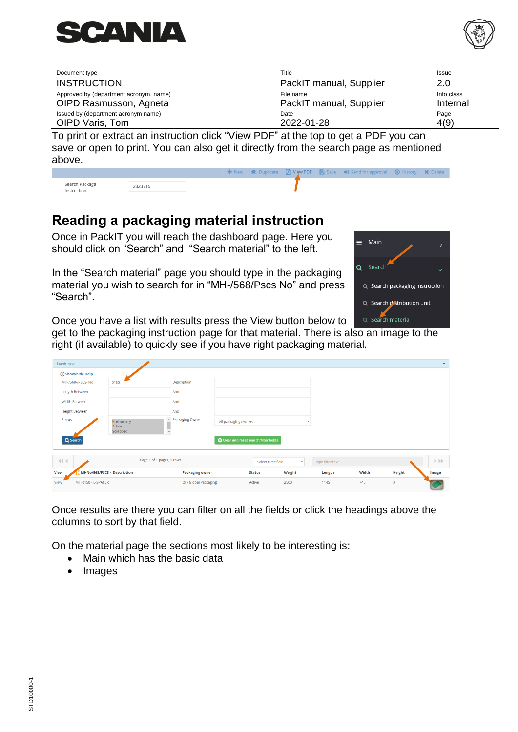



| Document type                          | Title                                                                                                                                                                                                                                                                                     | <b>Issue</b> |
|----------------------------------------|-------------------------------------------------------------------------------------------------------------------------------------------------------------------------------------------------------------------------------------------------------------------------------------------|--------------|
| <b>INSTRUCTION</b>                     | PackIT manual, Supplier                                                                                                                                                                                                                                                                   | 2.0          |
| Approved by (department acronym, name) | File name                                                                                                                                                                                                                                                                                 | Info class   |
| OIPD Rasmusson, Agneta                 | PackIT manual, Supplier                                                                                                                                                                                                                                                                   | Internal     |
| Issued by (department acronym name)    | Date                                                                                                                                                                                                                                                                                      | Page         |
| OIPD Varis, Tom                        | 2022-01-28                                                                                                                                                                                                                                                                                | 4(9)         |
|                                        | $\mathbf{T}$ a model of a colorated the continuation of the $\mathbf{R}$ $\mathbf{R}$ and $\mathbf{R}$ and $\mathbf{R}$ and $\mathbf{R}$ and $\mathbf{R}$ $\mathbf{R}$ and $\mathbf{R}$ $\mathbf{R}$ and $\mathbf{R}$ $\mathbf{R}$ and $\mathbf{R}$ and $\mathbf{R}$ and $\mathbf{R}$ and |              |

To print or extract an instruction click "View PDF" at the top to get a PDF you can save or open to print. You can also get it directly from the search page as mentioned above.

| Search Package<br>Instruction | 2323715 |  |  |  |  |
|-------------------------------|---------|--|--|--|--|

### <span id="page-3-0"></span>**Reading a packaging material instruction**

Once in PackIT you will reach the dashboard page. Here you should click on "Search" and "Search material" to the left.

In the "Search material" page you should type in the packaging material you wish to search for in "MH-/568/Pscs No" and press "Search".



Once you have a list with results press the View button below to

get to the packaging instruction page for that material. There is also an image to the right (if available) to quickly see if you have right packaging material.

| Search input |                             |                               |                        |                      |                                        |                           |                  |       |        | -                                 |
|--------------|-----------------------------|-------------------------------|------------------------|----------------------|----------------------------------------|---------------------------|------------------|-------|--------|-----------------------------------|
|              | ? Show/hide Help            |                               |                        |                      |                                        |                           |                  |       |        |                                   |
|              | MH-/568-/PSCS-No            | 0150                          | Description            |                      |                                        |                           |                  |       |        |                                   |
|              | Length Between              |                               | And                    |                      |                                        |                           |                  |       |        |                                   |
|              | Width Between               |                               | And                    |                      |                                        |                           |                  |       |        |                                   |
|              | <b>Height Between</b>       |                               | And                    |                      |                                        |                           |                  |       |        |                                   |
| Status       |                             | Preliminary                   | Packaging Owner        | All packaging owners |                                        |                           |                  |       |        |                                   |
|              |                             | Active<br>Scrapped<br>$\star$ |                        |                      |                                        |                           |                  |       |        |                                   |
|              | Q Search                    |                               |                        |                      | C Clear and reset search/filter fields |                           |                  |       |        |                                   |
|              |                             |                               |                        |                      |                                        |                           |                  |       |        |                                   |
| 44.4         |                             | Page 1 of 1 pages, 1 rows     |                        |                      | Select filter field                    | $\boldsymbol{\mathrm{v}}$ | Type filter text |       |        | $\triangleright$ $\triangleright$ |
| View         | MHNo/568/PSCS - Description |                               | <b>Packaging owner</b> |                      | <b>Status</b>                          | Weight                    | Length           | Width | Height | <b>Image</b>                      |
| View         | MH-0150 - E-SPACER          |                               | OI - Global Packaging  |                      | Active                                 | 2500                      | 1145             | 745   | 3      |                                   |

Once results are there you can filter on all the fields or click the headings above the columns to sort by that field.

On the material page the sections most likely to be interesting is:

- Main which has the basic data
- Images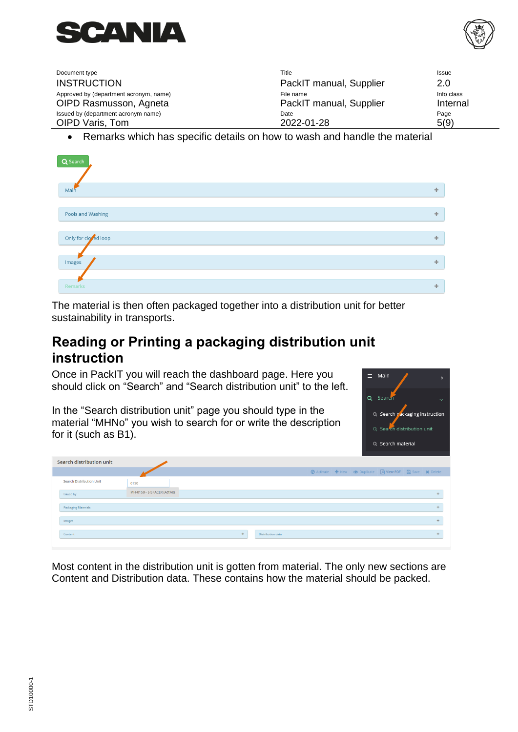



| Document type                          | Title                   | Issue      |
|----------------------------------------|-------------------------|------------|
| <b>INSTRUCTION</b>                     | PackIT manual, Supplier | 2.0        |
| Approved by (department acronym, name) | File name               | Info class |
| OIPD Rasmusson, Agneta                 | PackIT manual, Supplier | Internal   |
| Issued by (department acronym name)    | Date                    | Page       |
| OIPD Varis, Tom                        | 2022-01-28              | 5(9)       |

• Remarks which has specific details on how to wash and handle the material

| Q Search             |     |
|----------------------|-----|
|                      |     |
| Main                 | ÷   |
|                      |     |
| Pools and Washing    | dje |
|                      |     |
| Only for closed loop | ÷   |
|                      |     |
| Images               |     |
|                      |     |
| Remarks              | ÷   |

The material is then often packaged together into a distribution unit for better sustainability in transports.

#### <span id="page-4-0"></span>**Reading or Printing a packaging distribution unit instruction**

Once in PackIT you will reach the dashboard page. Here you should click on "Search" and "Search distribution unit" to the left.

In the "Search distribution unit" page you should type in the material "MHNo" you wish to search for or write the description for it (such as B1).



| Search distribution unit |                             |    |                   |  |                                                         |  |  |
|--------------------------|-----------------------------|----|-------------------|--|---------------------------------------------------------|--|--|
|                          |                             |    |                   |  | ⊙ Activate + New © Duplicate A View PDF A Save X Delete |  |  |
| Search Distribution Unit | 0150                        |    |                   |  |                                                         |  |  |
| Issued by                | MH-0150 - E-SPACER (Active) |    |                   |  |                                                         |  |  |
| Packaging Materials      |                             |    |                   |  |                                                         |  |  |
| Images                   |                             |    |                   |  |                                                         |  |  |
| Content                  |                             | a. | Distribution data |  |                                                         |  |  |
|                          |                             |    |                   |  |                                                         |  |  |

Most content in the distribution unit is gotten from material. The only new sections are Content and Distribution data. These contains how the material should be packed.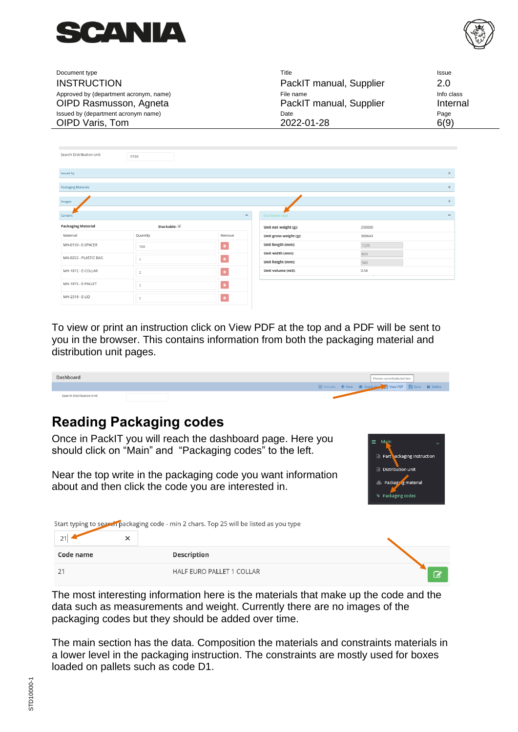



| Document type                          | Title                   | Issue      |
|----------------------------------------|-------------------------|------------|
| <b>INSTRUCTION</b>                     | PackIT manual, Supplier | 2.0        |
| Approved by (department acronym, name) | File name               | Info class |
| OIPD Rasmusson, Agneta                 | PackIT manual, Supplier | Internal   |
| Issued by (department acronym name)    | Date                    | Page       |
| OIPD Varis, Tom                        | 2022-01-28              | 6(9)       |

| Search Distribution Unit   | 0150         |                              |                          |        |                          |
|----------------------------|--------------|------------------------------|--------------------------|--------|--------------------------|
|                            |              |                              |                          |        |                          |
| Issued by                  |              |                              |                          |        | ÷                        |
| <b>Packaging Materials</b> |              |                              |                          |        | ÷.                       |
|                            |              |                              |                          |        |                          |
| Images                     |              |                              |                          |        | ÷.                       |
|                            |              |                              |                          |        |                          |
| Content                    |              | $\qquad \qquad \blacksquare$ | <b>Distribution data</b> |        | $\overline{\phantom{0}}$ |
| <b>Packaging Material</b>  | Stackable: √ |                              | Unit net weight (g):     | 250000 |                          |
| Material                   | Quantity     | Remove                       | Unit gross weight (g):   | 300643 |                          |
| MH-0150 - E-SPACER         | 100          | $\pmb{u}$                    | Unit length (mm):        | 1220   |                          |
| MH-0252 - PLASTIC BAG      |              |                              | Unit width (mm):         | 820    |                          |
|                            |              | $\pmb{u}$                    | Unit height (mm):        | 560    |                          |
| MH-1872 - E-COLLAR         | 2            | $\bullet$                    | Unit volume (m3):        | 0.56   |                          |
| MH-1875 - E-PALLET         |              | $\hat{\mathbf{u}}$           |                          |        |                          |
| MH-2318 - E-LID            |              | $\ddot{\mathbf{a}}$          |                          |        |                          |

To view or print an instruction click on View PDF at the top and a PDF will be sent to you in the browser. This contains information from both the packaging material and distribution unit pages.

| Dashboard                |  |  | Preview current/selected item                           |  |
|--------------------------|--|--|---------------------------------------------------------|--|
|                          |  |  | ⊙ Activate + New ⊙ Duplicate → View PDF B Save × Delete |  |
| Search Distribution Unit |  |  |                                                         |  |

#### <span id="page-5-0"></span>**Reading Packaging codes**

Once in PackIT you will reach the dashboard page. Here you should click on "Main" and "Packaging codes" to the left.

Near the top write in the packaging code you want information about and then click the code you are interested in.



Start typing to search packaging code - min 2 chars. Top 25 will be listed as you type

| Code name | Description                      |  |
|-----------|----------------------------------|--|
|           | <b>HALF EURO PALLET 1 COLLAR</b> |  |

The most interesting information here is the materials that make up the code and the data such as measurements and weight. Currently there are no images of the packaging codes but they should be added over time.

The main section has the data. Composition the materials and constraints materials in a lower level in the packaging instruction. The constraints are mostly used for boxes loaded on pallets such as code D1.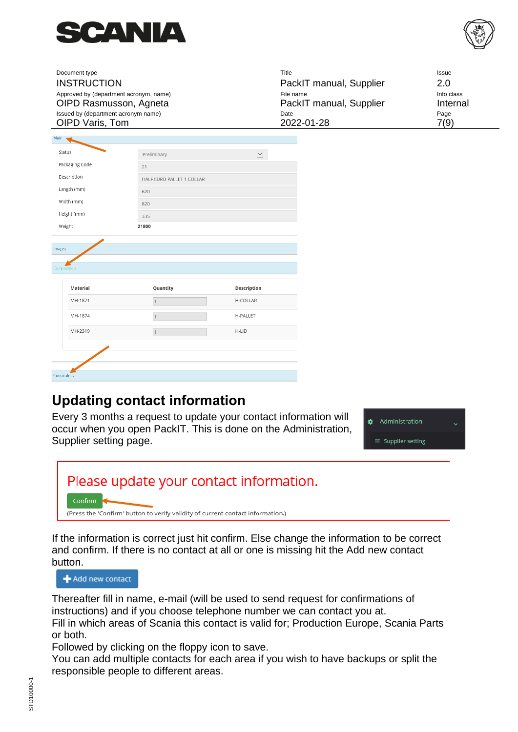



| Document type<br><b>INSTRUCTION</b><br>Approved by (department acronym, name)<br>OIPD Rasmusson, Agneta<br>Issued by (department acronym name)<br>OIPD Varis, Tom |                           |                      | Title<br>PackIT manual, Supplier<br>File name<br>PackIT manual, Supplier<br>Date<br>2022-01-28 | Issue<br>2.0<br>Info class<br>Internal<br>Page<br>7(9) |
|-------------------------------------------------------------------------------------------------------------------------------------------------------------------|---------------------------|----------------------|------------------------------------------------------------------------------------------------|--------------------------------------------------------|
| Main                                                                                                                                                              |                           |                      |                                                                                                |                                                        |
| Status                                                                                                                                                            | Preliminary               | $\blacktriangledown$ |                                                                                                |                                                        |
| Packaging Code                                                                                                                                                    | 21                        |                      |                                                                                                |                                                        |
| Description                                                                                                                                                       | HALF EURO PALLET 1 COLLAR |                      |                                                                                                |                                                        |
| Length (mm)                                                                                                                                                       | 620                       |                      |                                                                                                |                                                        |
| Width (mm)                                                                                                                                                        | 820                       |                      |                                                                                                |                                                        |
| Height (mm)                                                                                                                                                       | 335                       |                      |                                                                                                |                                                        |
| Weight                                                                                                                                                            | 21800                     |                      |                                                                                                |                                                        |
|                                                                                                                                                                   |                           |                      |                                                                                                |                                                        |
| Images                                                                                                                                                            |                           |                      |                                                                                                |                                                        |
| Composition                                                                                                                                                       |                           |                      |                                                                                                |                                                        |
|                                                                                                                                                                   |                           |                      |                                                                                                |                                                        |
| Material                                                                                                                                                          | Quantity                  | <b>Description</b>   |                                                                                                |                                                        |
| MH-1871                                                                                                                                                           | $\vert$ 1                 | H-COLLAR             |                                                                                                |                                                        |
| MH-1874                                                                                                                                                           |                           | H-PALLET             |                                                                                                |                                                        |
| MH-2319                                                                                                                                                           |                           | H-LID                |                                                                                                |                                                        |
|                                                                                                                                                                   |                           |                      |                                                                                                |                                                        |
|                                                                                                                                                                   |                           |                      |                                                                                                |                                                        |
| Constraints                                                                                                                                                       |                           |                      |                                                                                                |                                                        |
|                                                                                                                                                                   |                           |                      |                                                                                                |                                                        |

#### <span id="page-6-0"></span>**Updating contact information**

Every 3 months a request to update your contact information will occur when you open PackIT. This is done on the Administration, Supplier setting page.

**&** Administration Supplier setting



If the information is correct just hit confirm. Else change the information to be correct and confirm. If there is no contact at all or one is missing hit the Add new contact button.

Add new contact

Thereafter fill in name, e-mail (will be used to send request for confirmations of instructions) and if you choose telephone number we can contact you at. Fill in which areas of Scania this contact is valid for; Production Europe, Scania Parts or both.

Followed by clicking on the floppy icon to save.

You can add multiple contacts for each area if you wish to have backups or split the responsible people to different areas.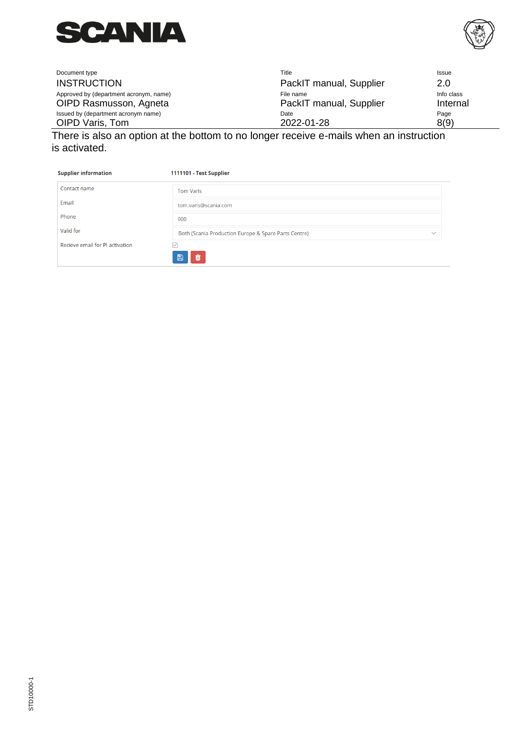



| Document type                                                    | Title                                | Issue                  |
|------------------------------------------------------------------|--------------------------------------|------------------------|
| <b>INSTRUCTION</b>                                               | PackIT manual, Supplier              | 2.0                    |
| Approved by (department acronym, name)<br>OIPD Rasmusson, Agneta | File name<br>PackIT manual, Supplier | Info class<br>Internal |
| Issued by (department acronym name)<br>OIPD Varis, Tom           | Date<br>2022-01-28                   | Page<br>8(9)           |
|                                                                  |                                      |                        |

There is also an option at the bottom to no longer receive e-mails when an instruction is activated.

| <b>Supplier information</b>     | 1111101 - Test Supplier                                              |
|---------------------------------|----------------------------------------------------------------------|
| Contact name                    | <b>Tom Varis</b>                                                     |
| Email                           | tom.varis@scania.com                                                 |
| Phone                           | 000                                                                  |
| Valid for                       | Both (Scania Production Europe & Spare Parts Centre)<br>$\checkmark$ |
| Recieve email for PI activation | $\checkmark$                                                         |
|                                 | 血<br>冎                                                               |